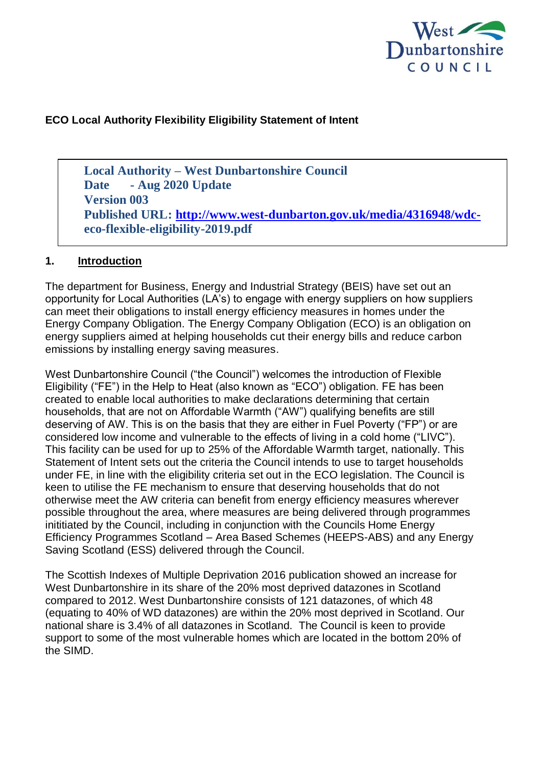

### **ECO Local Authority Flexibility Eligibility Statement of Intent**

**Local Authority – West Dunbartonshire Council Date - Aug 2020 Update Version 003 Published URL: [http://www.west-dunbarton.gov.uk/media/4316948/wdc](http://www.west-dunbarton.gov.uk/media/4316948/wdc-)eco-flexible-eligibility-2019.pdf**

#### **1. Introduction**

The department for Business, Energy and Industrial Strategy (BEIS) have set out an opportunity for Local Authorities (LA's) to engage with energy suppliers on how suppliers can meet their obligations to install energy efficiency measures in homes under the Energy Company Obligation. The Energy Company Obligation (ECO) is an obligation on energy suppliers aimed at helping households cut their energy bills and reduce carbon emissions by installing energy saving measures.

West Dunbartonshire Council ("the Council") welcomes the introduction of Flexible Eligibility ("FE") in the Help to Heat (also known as "ECO") obligation. FE has been created to enable local authorities to make declarations determining that certain households, that are not on Affordable Warmth ("AW") qualifying benefits are still deserving of AW. This is on the basis that they are either in Fuel Poverty ("FP") or are considered low income and vulnerable to the effects of living in a cold home ("LIVC"). This facility can be used for up to 25% of the Affordable Warmth target, nationally. This Statement of Intent sets out the criteria the Council intends to use to target households under FE, in line with the eligibility criteria set out in the ECO legislation. The Council is keen to utilise the FE mechanism to ensure that deserving households that do not otherwise meet the AW criteria can benefit from energy efficiency measures wherever possible throughout the area, where measures are being delivered through programmes inititiated by the Council, including in conjunction with the Councils Home Energy Efficiency Programmes Scotland – Area Based Schemes (HEEPS-ABS) and any Energy Saving Scotland (ESS) delivered through the Council.

The Scottish Indexes of Multiple Deprivation 2016 publication showed an increase for West Dunbartonshire in its share of the 20% most deprived datazones in Scotland compared to 2012. West Dunbartonshire consists of 121 datazones, of which 48 (equating to 40% of WD datazones) are within the 20% most deprived in Scotland. Our national share is 3.4% of all datazones in Scotland. The Council is keen to provide support to some of the most vulnerable homes which are located in the bottom 20% of the SIMD.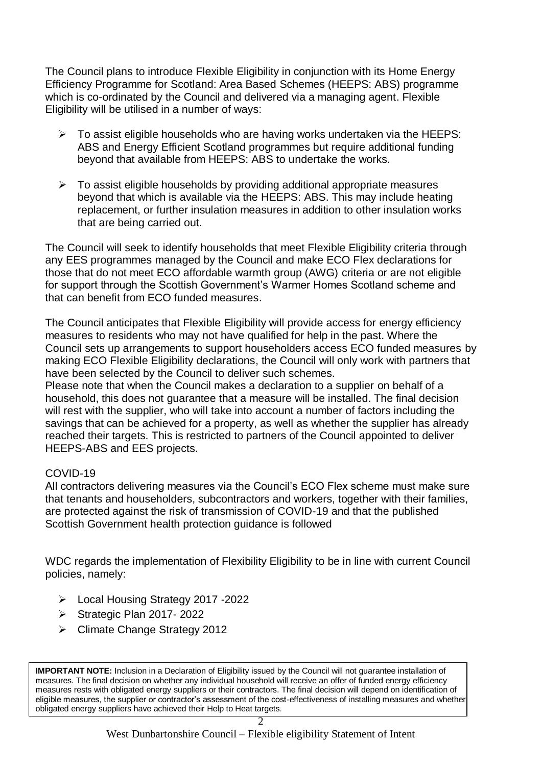The Council plans to introduce Flexible Eligibility in conjunction with its Home Energy Efficiency Programme for Scotland: Area Based Schemes (HEEPS: ABS) programme which is co-ordinated by the Council and delivered via a managing agent. Flexible Eligibility will be utilised in a number of ways:

- $\triangleright$  To assist eligible households who are having works undertaken via the HEEPS: ABS and Energy Efficient Scotland programmes but require additional funding beyond that available from HEEPS: ABS to undertake the works.
- $\triangleright$  To assist eligible households by providing additional appropriate measures beyond that which is available via the HEEPS: ABS. This may include heating replacement, or further insulation measures in addition to other insulation works that are being carried out.

The Council will seek to identify households that meet Flexible Eligibility criteria through any EES programmes managed by the Council and make ECO Flex declarations for those that do not meet ECO affordable warmth group (AWG) criteria or are not eligible for support through the Scottish Government's Warmer Homes Scotland scheme and that can benefit from ECO funded measures.

The Council anticipates that Flexible Eligibility will provide access for energy efficiency measures to residents who may not have qualified for help in the past. Where the Council sets up arrangements to support householders access ECO funded measures by making ECO Flexible Eligibility declarations, the Council will only work with partners that have been selected by the Council to deliver such schemes.

Please note that when the Council makes a declaration to a supplier on behalf of a household, this does not guarantee that a measure will be installed. The final decision will rest with the supplier, who will take into account a number of factors including the savings that can be achieved for a property, as well as whether the supplier has already reached their targets. This is restricted to partners of the Council appointed to deliver HEEPS-ABS and EES projects.

### COVID-19

All contractors delivering measures via the Council's ECO Flex scheme must make sure that tenants and householders, subcontractors and workers, together with their families, are protected against the risk of transmission of COVID-19 and that the published Scottish Government health protection guidance is followed

WDC regards the implementation of Flexibility Eligibility to be in line with current Council policies, namely:

- Local Housing Strategy 2017 -2022
- $\triangleright$  Strategic Plan 2017-2022
- Climate Change Strategy 2012

measures. The final decision on whether any individual household will receive an offer of funded energy efficiency **IMPORTANT NOTE:** Inclusion in a Declaration of Eligibility issued by the Council will not guarantee installation of measures rests with obligated energy suppliers or their contractors. The final decision will depend on identification of eligible measures, the supplier or contractor's assessment of the cost-effectiveness of installing measures and whether obligated energy suppliers have achieved their Help to Heat targets.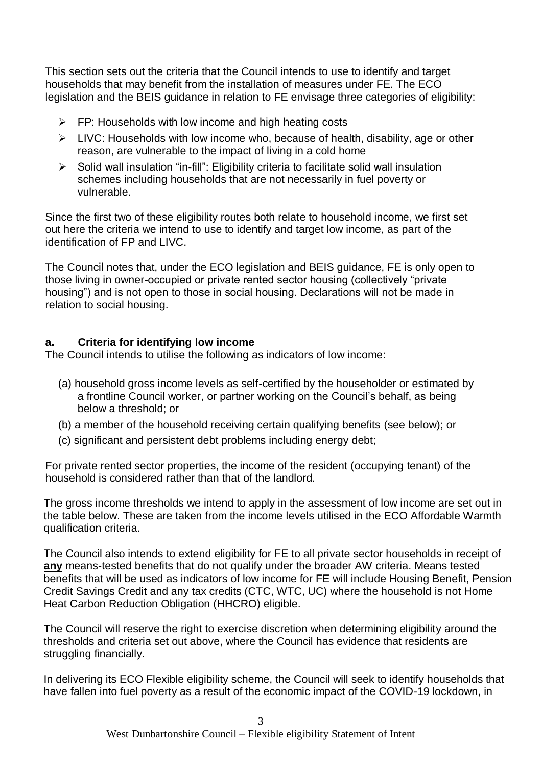This section sets out the criteria that the Council intends to use to identify and target households that may benefit from the installation of measures under FE. The ECO legislation and the BEIS guidance in relation to FE envisage three categories of eligibility:

- $\triangleright$  FP: Households with low income and high heating costs
- $\triangleright$  LIVC: Households with low income who, because of health, disability, age or other reason, are vulnerable to the impact of living in a cold home
- $\triangleright$  Solid wall insulation "in-fill": Eligibility criteria to facilitate solid wall insulation schemes including households that are not necessarily in fuel poverty or vulnerable.

Since the first two of these eligibility routes both relate to household income, we first set out here the criteria we intend to use to identify and target low income, as part of the identification of FP and LIVC.

The Council notes that, under the ECO legislation and BEIS guidance, FE is only open to those living in owner-occupied or private rented sector housing (collectively "private housing") and is not open to those in social housing. Declarations will not be made in relation to social housing.

### **a. Criteria for identifying low income**

The Council intends to utilise the following as indicators of low income:

- (a) household gross income levels as self-certified by the householder or estimated by a frontline Council worker, or partner working on the Council's behalf, as being below a threshold; or
- (b) a member of the household receiving certain qualifying benefits (see below); or
- (c) significant and persistent debt problems including energy debt;

For private rented sector properties, the income of the resident (occupying tenant) of the household is considered rather than that of the landlord.

The gross income thresholds we intend to apply in the assessment of low income are set out in the table below. These are taken from the income levels utilised in the ECO Affordable Warmth qualification criteria.

The Council also intends to extend eligibility for FE to all private sector households in receipt of **any** means-tested benefits that do not qualify under the broader AW criteria. Means tested benefits that will be used as indicators of low income for FE will include Housing Benefit, Pension Credit Savings Credit and any tax credits (CTC, WTC, UC) where the household is not Home Heat Carbon Reduction Obligation (HHCRO) eligible.

The Council will reserve the right to exercise discretion when determining eligibility around the thresholds and criteria set out above, where the Council has evidence that residents are struggling financially.

In delivering its ECO Flexible eligibility scheme, the Council will seek to identify households that have fallen into fuel poverty as a result of the economic impact of the COVID-19 lockdown, in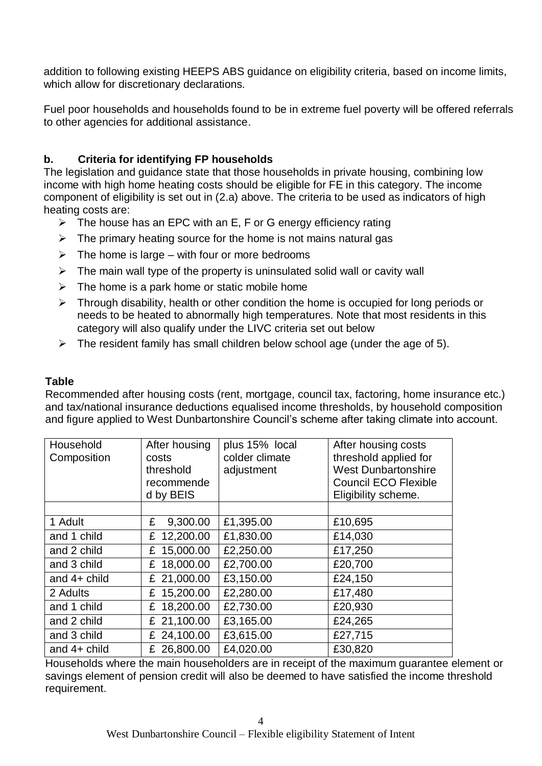addition to following existing HEEPS ABS guidance on eligibility criteria, based on income limits, which allow for discretionary declarations.

Fuel poor households and households found to be in extreme fuel poverty will be offered referrals to other agencies for additional assistance.

## **b. Criteria for identifying FP households**

The legislation and guidance state that those households in private housing, combining low income with high home heating costs should be eligible for FE in this category. The income component of eligibility is set out in (2.a) above. The criteria to be used as indicators of high heating costs are:

- $\triangleright$  The house has an EPC with an E, F or G energy efficiency rating
- $\triangleright$  The primary heating source for the home is not mains natural gas
- $\triangleright$  The home is large with four or more bedrooms
- $\triangleright$  The main wall type of the property is uninsulated solid wall or cavity wall
- $\triangleright$  The home is a park home or static mobile home
- $\triangleright$  Through disability, health or other condition the home is occupied for long periods or needs to be heated to abnormally high temperatures. Note that most residents in this category will also qualify under the LIVC criteria set out below
- $\triangleright$  The resident family has small children below school age (under the age of 5).

#### **Table**

Recommended after housing costs (rent, mortgage, council tax, factoring, home insurance etc.) and tax/national insurance deductions equalised income thresholds, by household composition and figure applied to West Dunbartonshire Council's scheme after taking climate into account.

| Household<br>Composition | After housing<br>costs<br>threshold<br>recommende<br>d by BEIS | plus 15% local<br>colder climate<br>adjustment | After housing costs<br>threshold applied for<br><b>West Dunbartonshire</b><br><b>Council ECO Flexible</b><br>Eligibility scheme. |
|--------------------------|----------------------------------------------------------------|------------------------------------------------|----------------------------------------------------------------------------------------------------------------------------------|
|                          |                                                                |                                                |                                                                                                                                  |
| 1 Adult                  | 9,300.00<br>£                                                  | £1,395.00                                      | £10,695                                                                                                                          |
| and 1 child              | 12,200.00<br>£                                                 | £1,830.00                                      | £14,030                                                                                                                          |
| and 2 child              | £ 15,000.00                                                    | £2,250.00                                      | £17,250                                                                                                                          |
| and 3 child              | 18,000.00<br>£                                                 | £2,700.00                                      | £20,700                                                                                                                          |
| and $4+$ child           | £ 21,000.00                                                    | £3,150.00                                      | £24,150                                                                                                                          |
| 2 Adults                 | £ 15,200.00                                                    | £2,280.00                                      | £17,480                                                                                                                          |
| and 1 child              | £ 18,200.00                                                    | £2,730.00                                      | £20,930                                                                                                                          |
| and 2 child              | £ 21,100.00                                                    | £3,165.00                                      | £24,265                                                                                                                          |
| and 3 child              | 24,100.00<br>£                                                 | £3,615.00                                      | £27,715                                                                                                                          |
| and $4+$ child           | £ 26,800.00                                                    | £4,020.00                                      | £30,820                                                                                                                          |

Households where the main householders are in receipt of the maximum guarantee element or savings element of pension credit will also be deemed to have satisfied the income threshold requirement.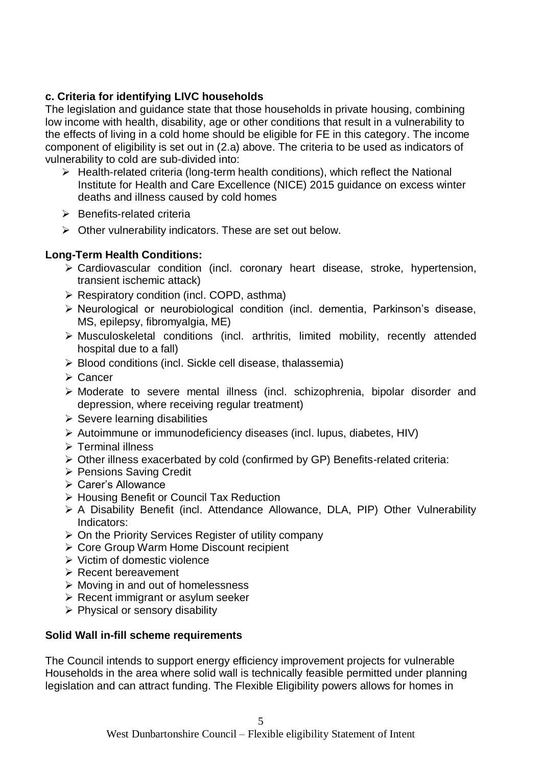## **c. Criteria for identifying LIVC households**

The legislation and guidance state that those households in private housing, combining low income with health, disability, age or other conditions that result in a vulnerability to the effects of living in a cold home should be eligible for FE in this category. The income component of eligibility is set out in (2.a) above. The criteria to be used as indicators of vulnerability to cold are sub-divided into:

- $\triangleright$  Health-related criteria (long-term health conditions), which reflect the National Institute for Health and Care Excellence (NICE) 2015 guidance on excess winter deaths and illness caused by cold homes
- $\triangleright$  Benefits-related criteria
- $\triangleright$  Other vulnerability indicators. These are set out below.

### **Long-Term Health Conditions:**

- $\geq$  Cardiovascular condition (incl. coronary heart disease, stroke, hypertension, transient ischemic attack)
- $\triangleright$  Respiratory condition (incl. COPD, asthma)
- Neurological or neurobiological condition (incl. dementia, Parkinson's disease, MS, epilepsy, fibromyalgia, ME)
- Musculoskeletal conditions (incl. arthritis, limited mobility, recently attended hospital due to a fall)
- $\triangleright$  Blood conditions (incl. Sickle cell disease, thalassemia)
- **≻ Cancer**
- Moderate to severe mental illness (incl. schizophrenia, bipolar disorder and depression, where receiving regular treatment)
- $\triangleright$  Severe learning disabilities
- Autoimmune or immunodeficiency diseases (incl. lupus, diabetes, HIV)
- Terminal illness
- Other illness exacerbated by cold (confirmed by GP) Benefits-related criteria:
- ▶ Pensions Saving Credit
- **≻ Carer's Allowance**
- ▶ Housing Benefit or Council Tax Reduction
- A Disability Benefit (incl. Attendance Allowance, DLA, PIP) Other Vulnerability Indicators:
- $\triangleright$  On the Priority Services Register of utility company
- ▶ Core Group Warm Home Discount recipient
- $\triangleright$  Victim of domestic violence
- $\triangleright$  Recent bereavement
- $\triangleright$  Moving in and out of homelessness
- $\triangleright$  Recent immigrant or asylum seeker
- $\triangleright$  Physical or sensory disability

#### **Solid Wall in-fill scheme requirements**

The Council intends to support energy efficiency improvement projects for vulnerable Households in the area where solid wall is technically feasible permitted under planning legislation and can attract funding. The Flexible Eligibility powers allows for homes in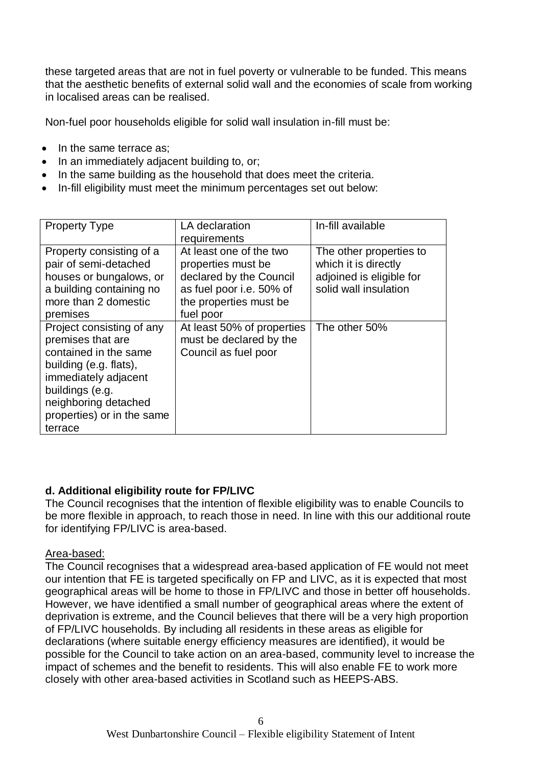these targeted areas that are not in fuel poverty or vulnerable to be funded. This means that the aesthetic benefits of external solid wall and the economies of scale from working in localised areas can be realised.

Non-fuel poor households eligible for solid wall insulation in-fill must be:

- In the same terrace as:
- In an immediately adjacent building to, or;
- In the same building as the household that does meet the criteria.
- In-fill eligibility must meet the minimum percentages set out below:

| <b>Property Type</b>                                                                                                                                                                                          | LA declaration<br>requirements                                                                                                              | In-fill available                                                                                    |
|---------------------------------------------------------------------------------------------------------------------------------------------------------------------------------------------------------------|---------------------------------------------------------------------------------------------------------------------------------------------|------------------------------------------------------------------------------------------------------|
| Property consisting of a<br>pair of semi-detached<br>houses or bungalows, or<br>a building containing no<br>more than 2 domestic<br>premises                                                                  | At least one of the two<br>properties must be<br>declared by the Council<br>as fuel poor i.e. 50% of<br>the properties must be<br>fuel poor | The other properties to<br>which it is directly<br>adjoined is eligible for<br>solid wall insulation |
| Project consisting of any<br>premises that are<br>contained in the same<br>building (e.g. flats),<br>immediately adjacent<br>buildings (e.g.<br>neighboring detached<br>properties) or in the same<br>terrace | At least 50% of properties<br>must be declared by the<br>Council as fuel poor                                                               | The other 50%                                                                                        |

### **d. Additional eligibility route for FP/LIVC**

The Council recognises that the intention of flexible eligibility was to enable Councils to be more flexible in approach, to reach those in need. In line with this our additional route for identifying FP/LIVC is area-based.

#### Area-based:

The Council recognises that a widespread area-based application of FE would not meet our intention that FE is targeted specifically on FP and LIVC, as it is expected that most geographical areas will be home to those in FP/LIVC and those in better off households. However, we have identified a small number of geographical areas where the extent of deprivation is extreme, and the Council believes that there will be a very high proportion of FP/LIVC households. By including all residents in these areas as eligible for declarations (where suitable energy efficiency measures are identified), it would be possible for the Council to take action on an area-based, community level to increase the impact of schemes and the benefit to residents. This will also enable FE to work more closely with other area-based activities in Scotland such as HEEPS-ABS.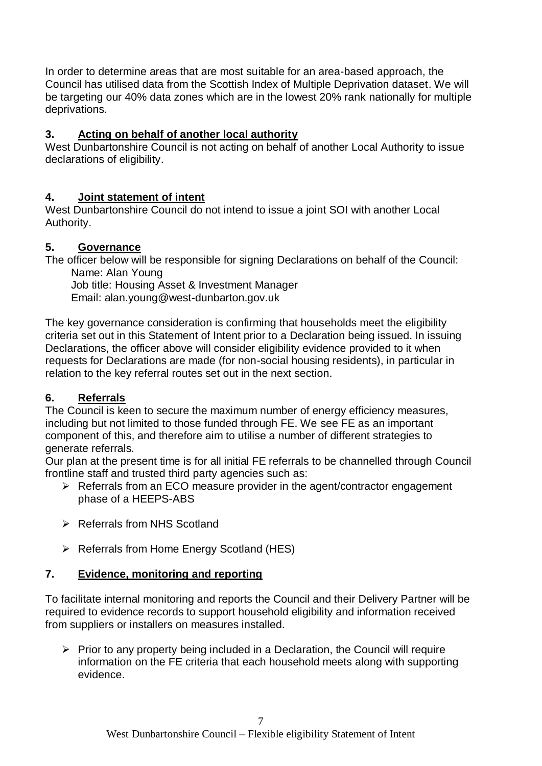In order to determine areas that are most suitable for an area-based approach, the Council has utilised data from the Scottish Index of Multiple Deprivation dataset. We will be targeting our 40% data zones which are in the lowest 20% rank nationally for multiple deprivations.

## **3. Acting on behalf of another local authority**

West Dunbartonshire Council is not acting on behalf of another Local Authority to issue declarations of eligibility.

## **4. Joint statement of intent**

West Dunbartonshire Council do not intend to issue a joint SOI with another Local Authority.

## **5. Governance**

The officer below will be responsible for signing Declarations on behalf of the Council: Name: Alan Young

Job title: Housing Asset & Investment Manager Email: alan.young@west-dunbarton.gov.uk

The key governance consideration is confirming that households meet the eligibility criteria set out in this Statement of Intent prior to a Declaration being issued. In issuing Declarations, the officer above will consider eligibility evidence provided to it when requests for Declarations are made (for non-social housing residents), in particular in relation to the key referral routes set out in the next section.

# **6. Referrals**

The Council is keen to secure the maximum number of energy efficiency measures, including but not limited to those funded through FE. We see FE as an important component of this, and therefore aim to utilise a number of different strategies to generate referrals.

Our plan at the present time is for all initial FE referrals to be channelled through Council frontline staff and trusted third party agencies such as:

- $\triangleright$  Referrals from an ECO measure provider in the agent/contractor engagement phase of a HEEPS-ABS
- **▶ Referrals from NHS Scotland**
- $\triangleright$  Referrals from Home Energy Scotland (HES)

# **7. Evidence, monitoring and reporting**

To facilitate internal monitoring and reports the Council and their Delivery Partner will be required to evidence records to support household eligibility and information received from suppliers or installers on measures installed.

 $\triangleright$  Prior to any property being included in a Declaration, the Council will require information on the FE criteria that each household meets along with supporting evidence.